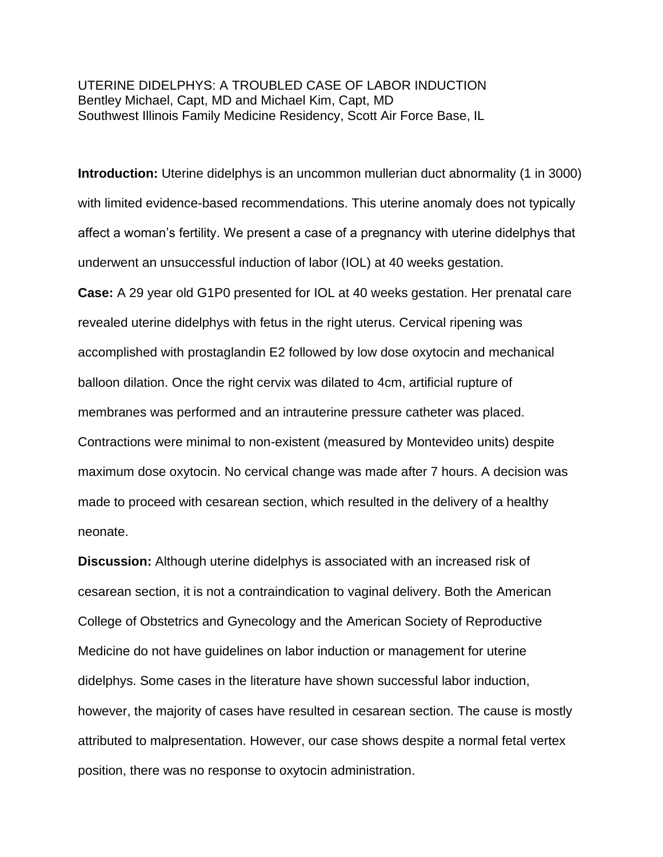UTERINE DIDELPHYS: A TROUBLED CASE OF LABOR INDUCTION Bentley Michael, Capt, MD and Michael Kim, Capt, MD Southwest Illinois Family Medicine Residency, Scott Air Force Base, IL

**Introduction:** Uterine didelphys is an uncommon mullerian duct abnormality (1 in 3000) with limited evidence-based recommendations. This uterine anomaly does not typically affect a woman's fertility. We present a case of a pregnancy with uterine didelphys that underwent an unsuccessful induction of labor (IOL) at 40 weeks gestation.

**Case:** A 29 year old G1P0 presented for IOL at 40 weeks gestation. Her prenatal care revealed uterine didelphys with fetus in the right uterus. Cervical ripening was accomplished with prostaglandin E2 followed by low dose oxytocin and mechanical balloon dilation. Once the right cervix was dilated to 4cm, artificial rupture of membranes was performed and an intrauterine pressure catheter was placed. Contractions were minimal to non-existent (measured by Montevideo units) despite maximum dose oxytocin. No cervical change was made after 7 hours. A decision was made to proceed with cesarean section, which resulted in the delivery of a healthy neonate.

**Discussion:** Although uterine didelphys is associated with an increased risk of cesarean section, it is not a contraindication to vaginal delivery. Both the American College of Obstetrics and Gynecology and the American Society of Reproductive Medicine do not have guidelines on labor induction or management for uterine didelphys. Some cases in the literature have shown successful labor induction, however, the majority of cases have resulted in cesarean section. The cause is mostly attributed to malpresentation. However, our case shows despite a normal fetal vertex position, there was no response to oxytocin administration.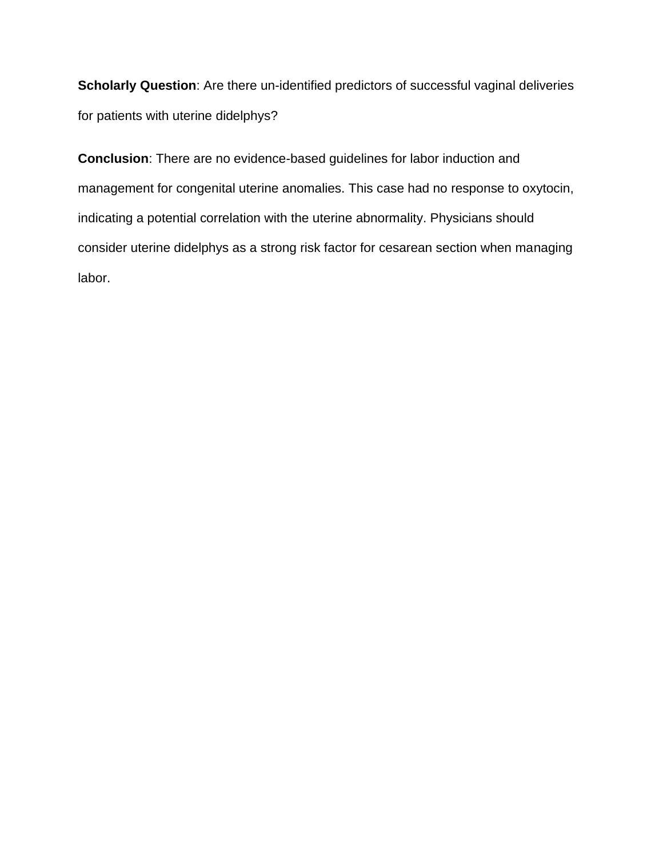**Scholarly Question**: Are there un-identified predictors of successful vaginal deliveries for patients with uterine didelphys?

**Conclusion**: There are no evidence-based guidelines for labor induction and management for congenital uterine anomalies. This case had no response to oxytocin, indicating a potential correlation with the uterine abnormality. Physicians should consider uterine didelphys as a strong risk factor for cesarean section when managing labor.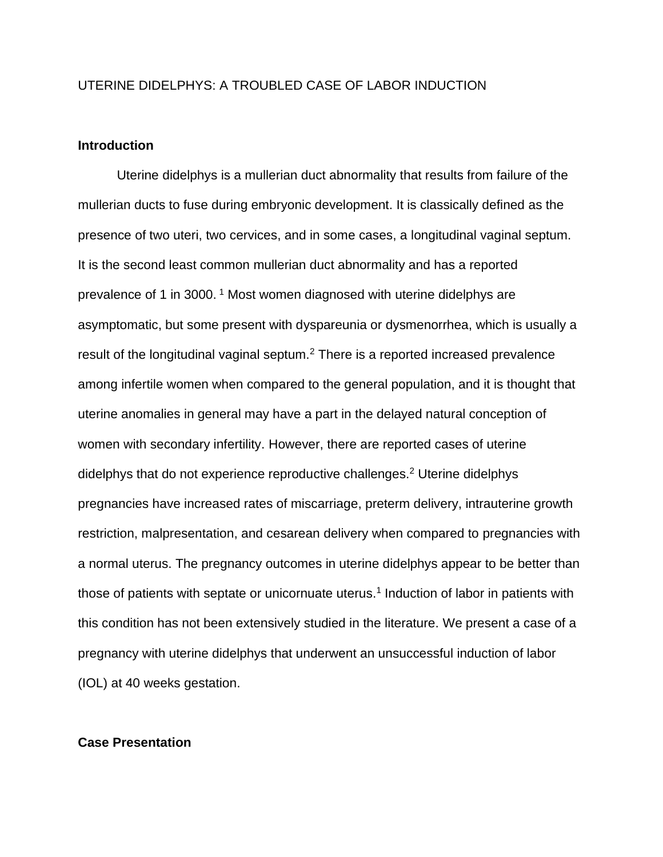## UTERINE DIDELPHYS: A TROUBLED CASE OF LABOR INDUCTION

### **Introduction**

Uterine didelphys is a mullerian duct abnormality that results from failure of the mullerian ducts to fuse during embryonic development. It is classically defined as the presence of two uteri, two cervices, and in some cases, a longitudinal vaginal septum. It is the second least common mullerian duct abnormality and has a reported prevalence of 1 in 3000. <sup>1</sup> Most women diagnosed with uterine didelphys are asymptomatic, but some present with dyspareunia or dysmenorrhea, which is usually a result of the longitudinal vaginal septum.<sup>2</sup> There is a reported increased prevalence among infertile women when compared to the general population, and it is thought that uterine anomalies in general may have a part in the delayed natural conception of women with secondary infertility. However, there are reported cases of uterine didelphys that do not experience reproductive challenges.<sup>2</sup> Uterine didelphys pregnancies have increased rates of miscarriage, preterm delivery, intrauterine growth restriction, malpresentation, and cesarean delivery when compared to pregnancies with a normal uterus. The pregnancy outcomes in uterine didelphys appear to be better than those of patients with septate or unicornuate uterus.<sup>1</sup> Induction of labor in patients with this condition has not been extensively studied in the literature. We present a case of a pregnancy with uterine didelphys that underwent an unsuccessful induction of labor (IOL) at 40 weeks gestation.

#### **Case Presentation**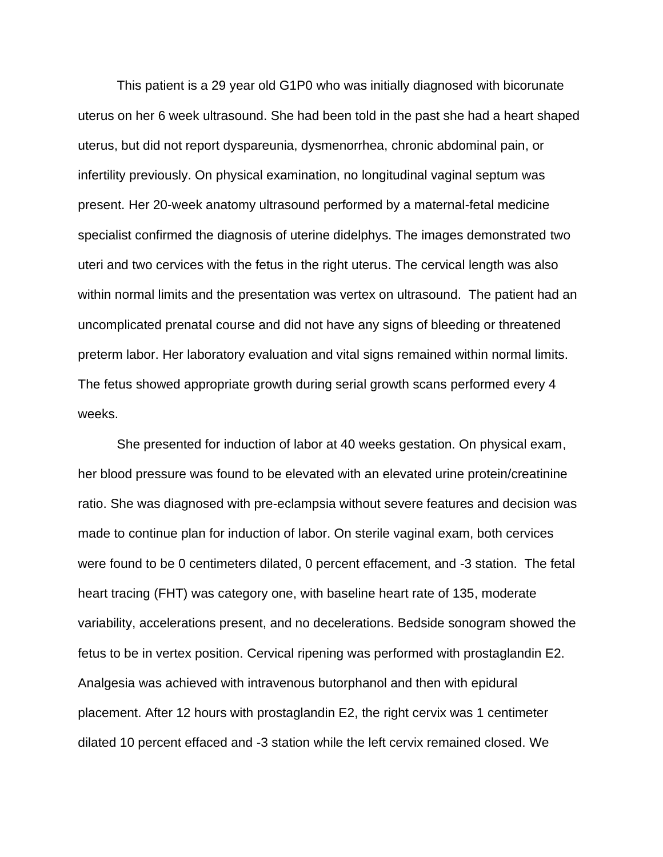This patient is a 29 year old G1P0 who was initially diagnosed with bicorunate uterus on her 6 week ultrasound. She had been told in the past she had a heart shaped uterus, but did not report dyspareunia, dysmenorrhea, chronic abdominal pain, or infertility previously. On physical examination, no longitudinal vaginal septum was present. Her 20-week anatomy ultrasound performed by a maternal-fetal medicine specialist confirmed the diagnosis of uterine didelphys. The images demonstrated two uteri and two cervices with the fetus in the right uterus. The cervical length was also within normal limits and the presentation was vertex on ultrasound. The patient had an uncomplicated prenatal course and did not have any signs of bleeding or threatened preterm labor. Her laboratory evaluation and vital signs remained within normal limits. The fetus showed appropriate growth during serial growth scans performed every 4 weeks.

She presented for induction of labor at 40 weeks gestation. On physical exam, her blood pressure was found to be elevated with an elevated urine protein/creatinine ratio. She was diagnosed with pre-eclampsia without severe features and decision was made to continue plan for induction of labor. On sterile vaginal exam, both cervices were found to be 0 centimeters dilated, 0 percent effacement, and -3 station. The fetal heart tracing (FHT) was category one, with baseline heart rate of 135, moderate variability, accelerations present, and no decelerations. Bedside sonogram showed the fetus to be in vertex position. Cervical ripening was performed with prostaglandin E2. Analgesia was achieved with intravenous butorphanol and then with epidural placement. After 12 hours with prostaglandin E2, the right cervix was 1 centimeter dilated 10 percent effaced and -3 station while the left cervix remained closed. We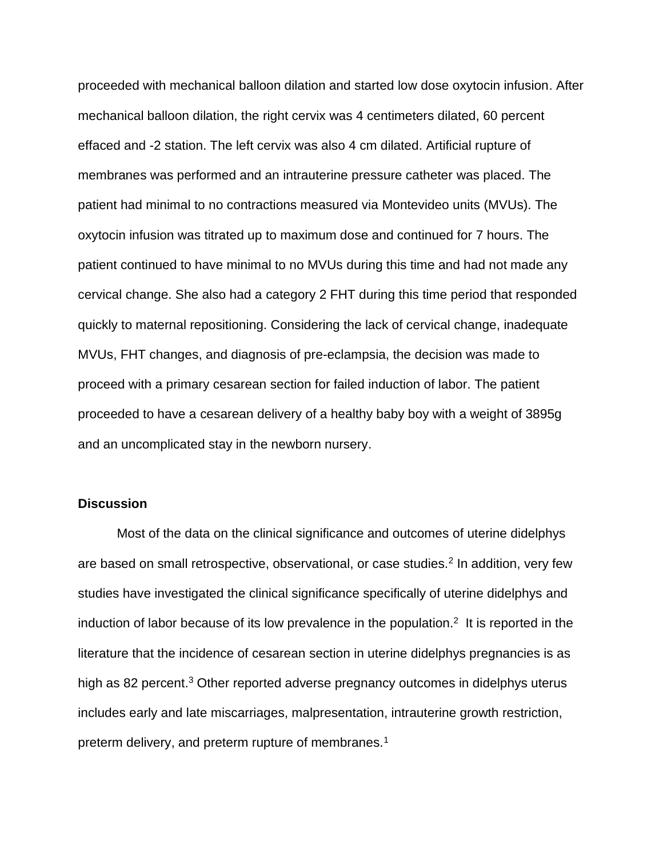proceeded with mechanical balloon dilation and started low dose oxytocin infusion. After mechanical balloon dilation, the right cervix was 4 centimeters dilated, 60 percent effaced and -2 station. The left cervix was also 4 cm dilated. Artificial rupture of membranes was performed and an intrauterine pressure catheter was placed. The patient had minimal to no contractions measured via Montevideo units (MVUs). The oxytocin infusion was titrated up to maximum dose and continued for 7 hours. The patient continued to have minimal to no MVUs during this time and had not made any cervical change. She also had a category 2 FHT during this time period that responded quickly to maternal repositioning. Considering the lack of cervical change, inadequate MVUs, FHT changes, and diagnosis of pre-eclampsia, the decision was made to proceed with a primary cesarean section for failed induction of labor. The patient proceeded to have a cesarean delivery of a healthy baby boy with a weight of 3895g and an uncomplicated stay in the newborn nursery.

### **Discussion**

Most of the data on the clinical significance and outcomes of uterine didelphys are based on small retrospective, observational, or case studies.<sup>2</sup> In addition, very few studies have investigated the clinical significance specifically of uterine didelphys and induction of labor because of its low prevalence in the population.<sup>2</sup> It is reported in the literature that the incidence of cesarean section in uterine didelphys pregnancies is as high as 82 percent.<sup>3</sup> Other reported adverse pregnancy outcomes in didelphys uterus includes early and late miscarriages, malpresentation, intrauterine growth restriction, preterm delivery, and preterm rupture of membranes.<sup>1</sup>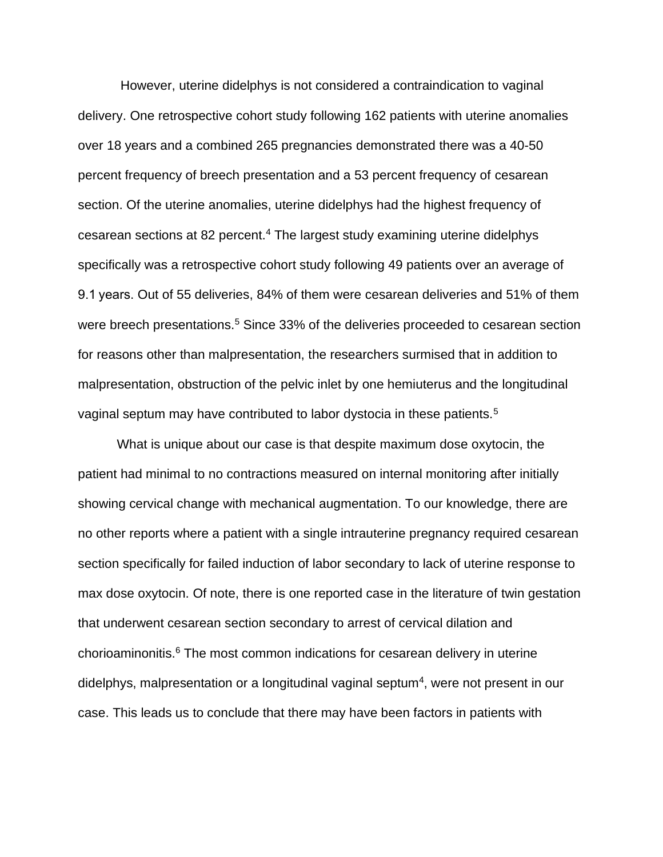However, uterine didelphys is not considered a contraindication to vaginal delivery. One retrospective cohort study following 162 patients with uterine anomalies over 18 years and a combined 265 pregnancies demonstrated there was a 40-50 percent frequency of breech presentation and a 53 percent frequency of cesarean section. Of the uterine anomalies, uterine didelphys had the highest frequency of cesarean sections at 82 percent.<sup>4</sup> The largest study examining uterine didelphys specifically was a retrospective cohort study following 49 patients over an average of 9.1 years. Out of 55 deliveries, 84% of them were cesarean deliveries and 51% of them were breech presentations.<sup>5</sup> Since 33% of the deliveries proceeded to cesarean section for reasons other than malpresentation, the researchers surmised that in addition to malpresentation, obstruction of the pelvic inlet by one hemiuterus and the longitudinal vaginal septum may have contributed to labor dystocia in these patients.<sup>5</sup>

What is unique about our case is that despite maximum dose oxytocin, the patient had minimal to no contractions measured on internal monitoring after initially showing cervical change with mechanical augmentation. To our knowledge, there are no other reports where a patient with a single intrauterine pregnancy required cesarean section specifically for failed induction of labor secondary to lack of uterine response to max dose oxytocin. Of note, there is one reported case in the literature of twin gestation that underwent cesarean section secondary to arrest of cervical dilation and chorioaminonitis.<sup>6</sup> The most common indications for cesarean delivery in uterine didelphys, malpresentation or a longitudinal vaginal septum<sup>4</sup>, were not present in our case. This leads us to conclude that there may have been factors in patients with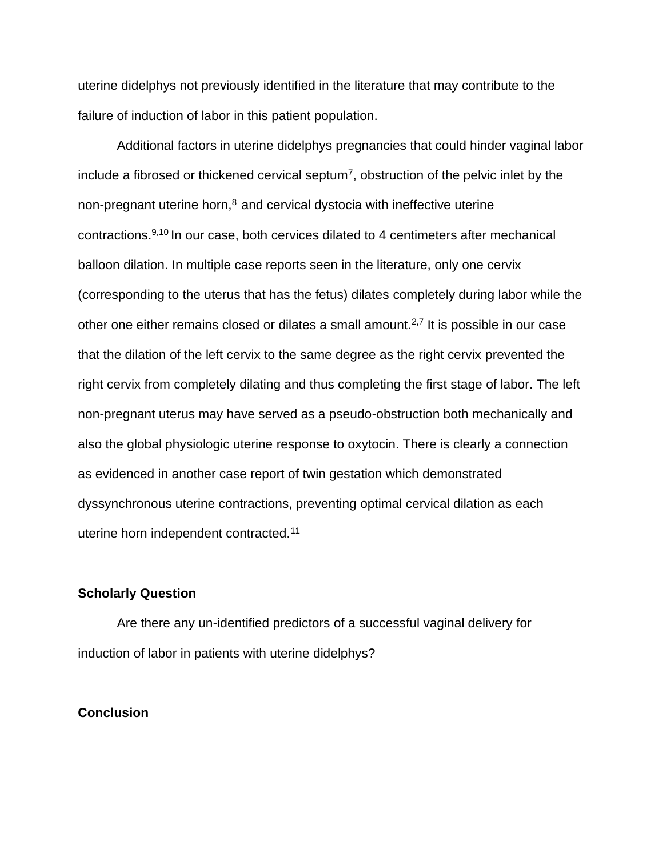uterine didelphys not previously identified in the literature that may contribute to the failure of induction of labor in this patient population.

Additional factors in uterine didelphys pregnancies that could hinder vaginal labor include a fibrosed or thickened cervical septum<sup>7</sup>, obstruction of the pelvic inlet by the non-pregnant uterine horn, $8$  and cervical dystocia with ineffective uterine contractions.9,10 In our case, both cervices dilated to 4 centimeters after mechanical balloon dilation. In multiple case reports seen in the literature, only one cervix (corresponding to the uterus that has the fetus) dilates completely during labor while the other one either remains closed or dilates a small amount.<sup>2,7</sup> It is possible in our case that the dilation of the left cervix to the same degree as the right cervix prevented the right cervix from completely dilating and thus completing the first stage of labor. The left non-pregnant uterus may have served as a pseudo-obstruction both mechanically and also the global physiologic uterine response to oxytocin. There is clearly a connection as evidenced in another case report of twin gestation which demonstrated dyssynchronous uterine contractions, preventing optimal cervical dilation as each uterine horn independent contracted.<sup>11</sup>

### **Scholarly Question**

Are there any un-identified predictors of a successful vaginal delivery for induction of labor in patients with uterine didelphys?

# **Conclusion**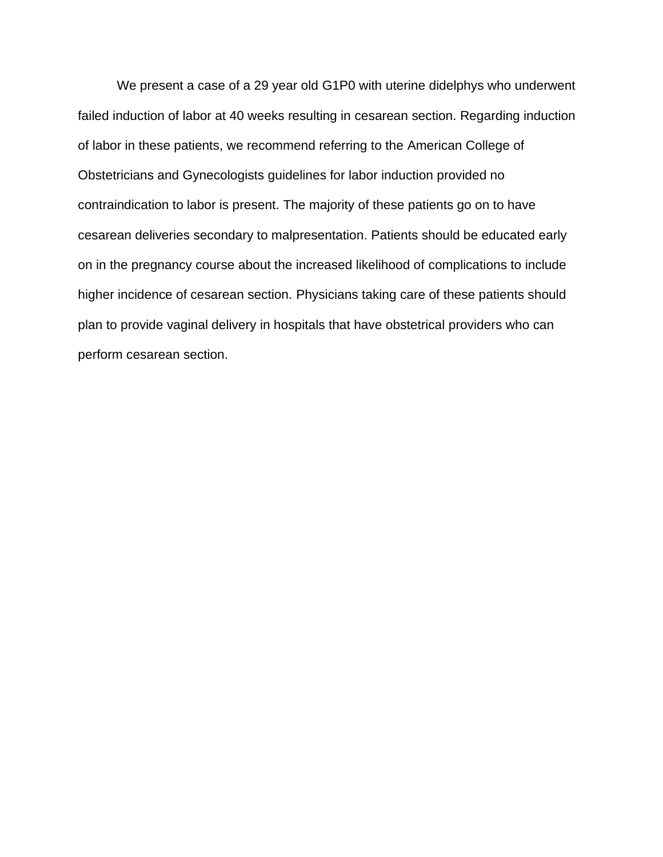We present a case of a 29 year old G1P0 with uterine didelphys who underwent failed induction of labor at 40 weeks resulting in cesarean section. Regarding induction of labor in these patients, we recommend referring to the American College of Obstetricians and Gynecologists guidelines for labor induction provided no contraindication to labor is present. The majority of these patients go on to have cesarean deliveries secondary to malpresentation. Patients should be educated early on in the pregnancy course about the increased likelihood of complications to include higher incidence of cesarean section. Physicians taking care of these patients should plan to provide vaginal delivery in hospitals that have obstetrical providers who can perform cesarean section.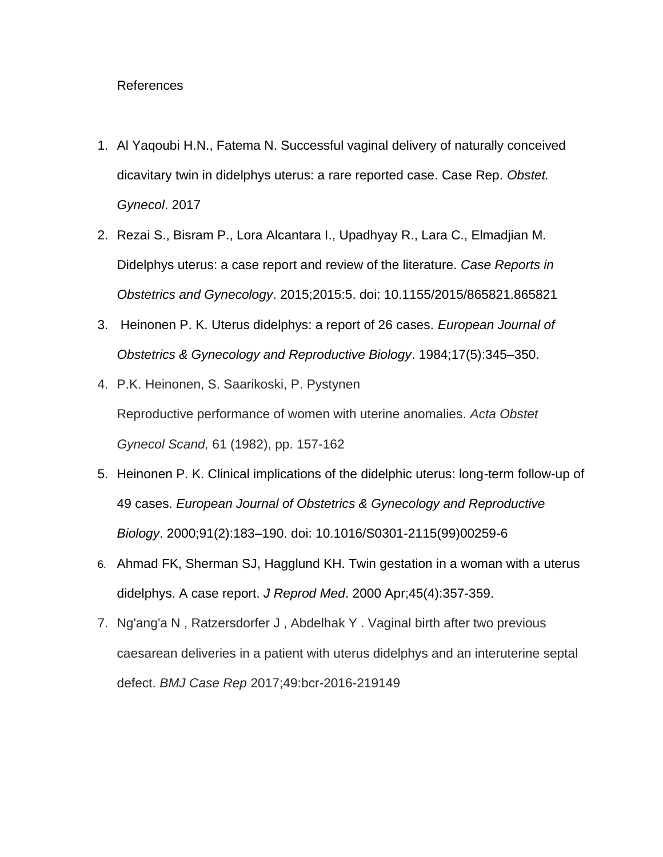## References

- 1. Al Yaqoubi H.N., Fatema N. Successful vaginal delivery of naturally conceived dicavitary twin in didelphys uterus: a rare reported case. Case Rep. *Obstet. Gynecol*. 2017
- 2. Rezai S., Bisram P., Lora Alcantara I., Upadhyay R., Lara C., Elmadjian M. Didelphys uterus: a case report and review of the literature. *Case Reports in Obstetrics and Gynecology*. 2015;2015:5. doi: 10.1155/2015/865821.865821
- 3. Heinonen P. K. Uterus didelphys: a report of 26 cases. *European Journal of Obstetrics & Gynecology and Reproductive Biology*. 1984;17(5):345–350.
- 4. P.K. Heinonen, S. Saarikoski, P. Pystynen Reproductive performance of women with uterine anomalies. *Acta Obstet Gynecol Scand,* 61 (1982), pp. 157-162
- 5. Heinonen P. K. Clinical implications of the didelphic uterus: long-term follow-up of 49 cases. *European Journal of Obstetrics & Gynecology and Reproductive Biology*. 2000;91(2):183–190. doi: 10.1016/S0301-2115(99)00259-6
- 6. Ahmad FK, Sherman SJ, Hagglund KH. Twin gestation in a woman with a uterus didelphys. A case report. *J Reprod Med*. 2000 Apr;45(4):357-359.
- 7. Ng'ang'a N , Ratzersdorfer J , Abdelhak Y . Vaginal birth after two previous caesarean deliveries in a patient with uterus didelphys and an interuterine septal defect. *BMJ Case Rep* 2017;49:bcr-2016-219149